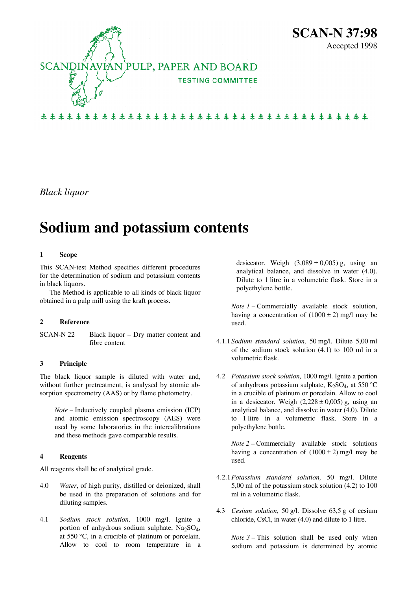

来来来来来来来来来来来来来来来来来来来来来来来来来来来来来来来来来来来

*Black liquor* 

# **Sodium and potassium contents**

#### **1 Scope**

This SCAN-test Method specifies different procedures for the determination of sodium and potassium contents in black liquors.

The Method is applicable to all kinds of black liquor obtained in a pulp mill using the kraft process.

#### **2 Reference**

SCAN-N 22 Black liquor – Dry matter content and fibre content

#### **3 Principle**

The black liquor sample is diluted with water and, without further pretreatment, is analysed by atomic absorption spectrometry (AAS) or by flame photometry.

*Note –* Inductively coupled plasma emission (ICP) and atomic emission spectroscopy (AES) were used by some laboratories in the intercalibrations and these methods gave comparable results.

#### <span id="page-0-0"></span>**4 Reagents**

All reagents shall be of analytical grade.

- [4.](#page-0-0)0 *Water*, of high purity, distilled or deionized, shall be used in the preparation of solutions and for diluting samples.
- [4.](#page-0-0)1 *Sodium stock solution,* 1000 mg/l. Ignite a portion of anhydrous sodium sulphate,  $Na<sub>2</sub>SO<sub>4</sub>$ , at 550 °C, in a crucible of platinum or porcelain. Allow to cool to room temperature in a

desiccator. Weigh  $(3,089 \pm 0,005)$  g, using an analytical balance, and dissolve in water ([4.](#page-0-0)0). Dilute to 1 litre in a volumetric flask. Store in a polyethylene bottle.

*Note 1 –* Commercially available stock solution, having a concentration of  $(1000 \pm 2)$  mg/l may be used.

- [4.](#page-0-0)1.1 *Sodium standard solution,* 50 mg/l. Dilute 5,00 ml of the sodium stock solution [\(4](#page-0-0).1) to 100 ml in a volumetric flask.
- [4.](#page-0-0)2 *Potassium stock solution,* 1000 mg/l. Ignite a portion of anhydrous potassium sulphate,  $K_2SO_4$ , at 550 °C in a crucible of platinum or porcelain. Allow to cool in a desiccator. Weigh  $(2,228 \pm 0,005)$  g, using an analytical balance, and dissolve in water ([4.](#page-0-0)0). Dilute to 1 litre in a volumetric flask. Store in a polyethylene bottle.

*Note 2 –* Commercially available stock solutions having a concentration of  $(1000 \pm 2)$  mg/l may be used.

- [4.](#page-0-0)2.1 *Potassium standard solution,* 50 mg/l. Dilute 5,00 ml of the potassium stock solution [\(4](#page-0-0).2) to 100 ml in a volumetric flask.
- [4.](#page-0-0)3 *Cesium solution,* 50 g/l. Dissolve 63,5 g of cesium chloride, CsCl, in water [\(4](#page-0-0).0) and dilute to 1 litre.

*Note 3* – This solution shall be used only when sodium and potassium is determined by atomic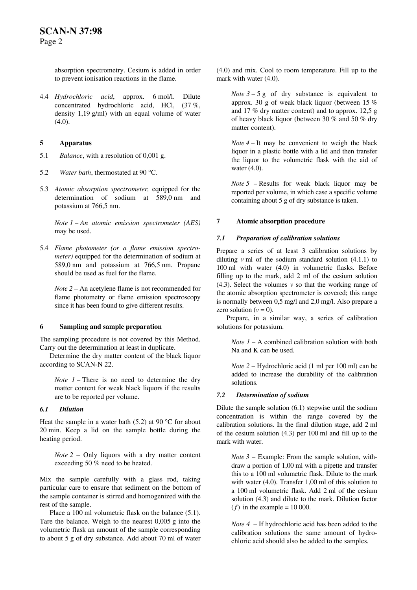absorption spectrometry. Cesium is added in order to prevent ionisation reactions in the flame.

[4.](#page-0-0)4 *Hydrochloric acid*, approx. 6 mol/l. Dilute concentrated hydrochloric acid, HCl, (37 %, density 1,19 g/ml) with an equal volume of water  $(4.0).$  $(4.0).$ 

## <span id="page-1-0"></span>**5 Apparatus**

- [5.](#page-1-0)1 *Balance*, with a resolution of 0,001 g.
- [5.](#page-1-0)2 *Water bath*, thermostated at 90 °C.
- [5.](#page-1-0)3 *Atomic absorption spectrometer,* equipped for the determination of sodium at 589,0 nm and potassium at 766,5 nm.

*Note 1 – An atomic emission spectrometer (AES)*  may be used.

[5.](#page-1-0)4 *Flame photometer (or a flame emission spectrometer)* equipped for the determination of sodium at 589,0 nm and potassium at 766,5 nm. Propane should be used as fuel for the flame.

*Note 2 –* An acetylene flame is not recommended for flame photometry or flame emission spectroscopy since it has been found to give different results.

#### <span id="page-1-1"></span>**6 Sampling and sample preparation**

The sampling procedure is not covered by this Method. Carry out the determination at least in duplicate.

Determine the dry matter content of the black liquor according to SCAN-N 22.

*Note 1 –* There is no need to determine the dry matter content for weak black liquors if the results are to be reported per volume.

#### *6.1 Dilution*

Heat the sample in a water bath [\(5](#page-1-0).2) at 90  $^{\circ}$ C for about 20 min. Keep a lid on the sample bottle during the heating period.

*Note 2 –* Only liquors with a dry matter content exceeding 50 % need to be heated.

Mix the sample carefully with a glass rod, taking particular care to ensure that sediment on the bottom of the sample container is stirred and homogenized with the rest of the sample.

Place a 100 ml volumetric flask on the balance ([5.](#page-1-0)1). Tare the balance. Weigh to the nearest 0,005 g into the volumetric flask an amount of the sample corresponding to about 5 g of dry substance. Add about 70 ml of water [\(4](#page-0-0).0) and mix. Cool to room temperature. Fill up to the mark with water ([4.](#page-0-0)0).

*Note*  $3 - 5$  g of dry substance is equivalent to approx. 30 g of weak black liquor (between 15 % and 17 % dry matter content) and to approx. 12,5 g of heavy black liquor (between 30 % and 50 % dry matter content).

*Note 4 –* It may be convenient to weigh the black liquor in a plastic bottle with a lid and then transfer the liquor to the volumetric flask with the aid of water [\(4](#page-0-0).0).

*Note 5 –* Results for weak black liquor may be reported per volume, in which case a specific volume containing about 5 g of dry substance is taken.

#### **7 Atomic absorption procedure**

#### *7.1 Preparation of calibration solutions*

Prepare a series of at least 3 calibration solutions by diluting *v* ml of the sodium standard solution ([4.](#page-0-0)1.1) to 100 ml with water [\(4.](#page-0-0)0) in volumetric flasks. Before filling up to the mark, add 2 ml of the cesium solution [\(4](#page-0-0).3). Select the volumes *v* so that the working range of the atomic absorption spectrometer is covered; this range is normally between 0,5 mg/l and 2,0 mg/l. Also prepare a zero solution  $(v = 0)$ .

Prepare, in a similar way, a series of calibration solutions for potassium.

*Note 1* – A combined calibration solution with both Na and K can be used.

*Note 2* – Hydrochloric acid (1 ml per 100 ml) can be added to increase the durability of the calibration solutions.

#### *7.2 Determination of sodium*

Dilute the sample solution [\(6](#page-1-1).1) stepwise until the sodium concentration is within the range covered by the calibration solutions. In the final dilution stage, add 2 ml of the cesium solution ([4.](#page-0-0)3) per 100 ml and fill up to the mark with water.

*Note 3* – Example: From the sample solution, withdraw a portion of 1,00 ml with a pipette and transfer this to a 100 ml volumetric flask. Dilute to the mark with water [\(4](#page-0-0).0). Transfer 1,00 ml of this solution to a 100 ml volumetric flask. Add 2 ml of the cesium solution (4.3) and dilute to the mark. Dilution factor  $(f)$  in the example = 10 000.

*Note 4 –* If hydrochloric acid has been added to the calibration solutions the same amount of hydrochloric acid should also be added to the samples.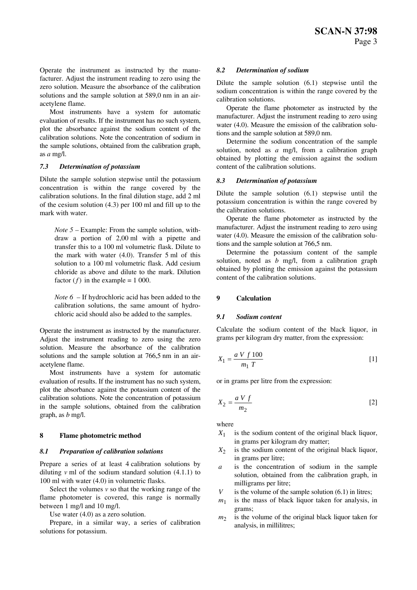Operate the instrument as instructed by the manufacturer. Adjust the instrument reading to zero using the zero solution. Measure the absorbance of the calibration solutions and the sample solution at 589,0 nm in an airacetylene flame.

Most instruments have a system for automatic evaluation of results. If the instrument has no such system, plot the absorbance against the sodium content of the calibration solutions. Note the concentration of sodium in the sample solutions, obtained from the calibration graph, as *a* mg/l.

#### *7.3 Determination of potassium*

Dilute the sample solution stepwise until the potassium concentration is within the range covered by the calibration solutions. In the final dilution stage, add 2 ml of the cesium solution [\(4](#page-0-0).3) per 100 ml and fill up to the mark with water.

*Note 5 –* Example: From the sample solution, withdraw a portion of 2,00 ml with a pipette and transfer this to a 100 ml volumetric flask. Dilute to the mark with water [\(4](#page-0-0).0). Transfer 5 ml of this solution to a 100 ml volumetric flask. Add cesium chloride as above and dilute to the mark. Dilution factor  $(f)$  in the example = 1 000.

*Note 6 –* If hydrochloric acid has been added to the calibration solutions, the same amount of hydrochloric acid should also be added to the samples.

Operate the instrument as instructed by the manufacturer. Adjust the instrument reading to zero using the zero solution. Measure the absorbance of the calibration solutions and the sample solution at 766,5 nm in an airacetylene flame.

Most instruments have a system for automatic evaluation of results. If the instrument has no such system, plot the absorbance against the potassium content of the calibration solutions. Note the concentration of potassium in the sample solutions, obtained from the calibration graph, as *b* mg/l.

## **8 Flame photometric method**

#### *8.1 Preparation of calibration solutions*

Prepare a series of at least 4 calibration solutions by diluting *v* ml of the sodium standard solution [\(4](#page-0-0).1.1) to 100 ml with water ([4.](#page-0-0)0) in volumetric flasks.

Select the volumes  $\nu$  so that the working range of the flame photometer is covered, this range is normally between 1 mg/l and 10 mg/l.

Use water [\(4](#page-0-0).0) as a zero solution.

Prepare, in a similar way, a series of calibration solutions for potassium.

#### *8.2 Determination of sodium*

Dilute the sample solution [\(6](#page-1-1).1) stepwise until the sodium concentration is within the range covered by the calibration solutions.

Operate the flame photometer as instructed by the manufacturer. Adjust the instrument reading to zero using water [\(4.](#page-0-0)0). Measure the emission of the calibration solutions and the sample solution at 589,0 nm.

Determine the sodium concentration of the sample solution, noted as *a* mg/l, from a calibration graph obtained by plotting the emission against the sodium content of the calibration solutions.

#### *8.3 Determination of potassium*

Dilute the sample solution [\(6](#page-1-1).1) stepwise until the potassium concentration is within the range covered by the calibration solutions.

Operate the flame photometer as instructed by the manufacturer. Adjust the instrument reading to zero using water [\(4.](#page-0-0)0). Measure the emission of the calibration solutions and the sample solution at 766,5 nm.

Determine the potassium content of the sample solution, noted as *b* mg/l, from a calibration graph obtained by plotting the emission against the potassium content of the calibration solutions.

#### **9 Calculation**

#### *9.1 Sodium content*

Calculate the sodium content of the black liquor, in grams per kilogram dry matter, from the expression:

$$
X_1 = \frac{a V f 100}{m_1 T} \tag{1}
$$

or in grams per litre from the expression:

$$
X_2 = \frac{a V f}{m_2} \tag{2}
$$

where

- $X_1$  is the sodium content of the original black liquor, in grams per kilogram dry matter;
- $X_2$  is the sodium content of the original black liquor, in grams per litre;
- *a* is the concentration of sodium in the sample solution, obtained from the calibration graph, in milligrams per litre;
- *V* is the volume of the sample solution [\(6](#page-1-1).1) in litres;
- $m_1$  is the mass of black liquor taken for analysis, in grams;
- $m<sub>2</sub>$  is the volume of the original black liquor taken for analysis, in millilitres;